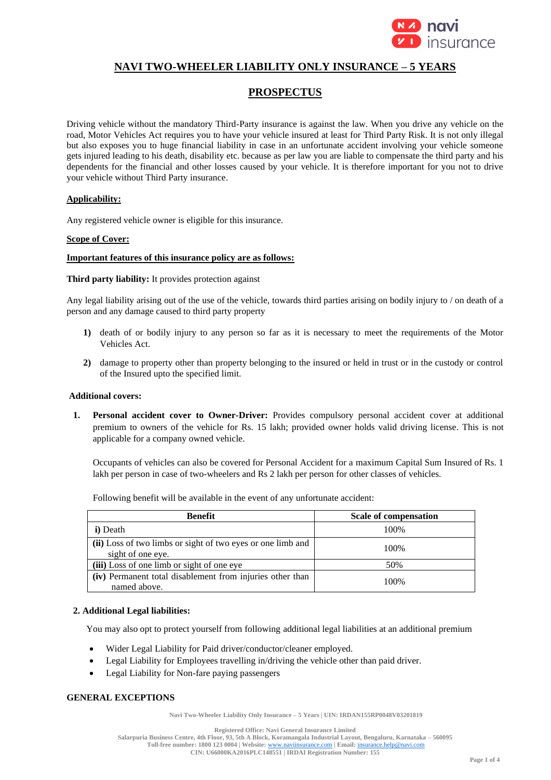

# **NAVI TWO-WHEELER LIABILITY ONLY INSURANCE – 5 YEARS**

## **PROSPECTUS**

Driving vehicle without the mandatory Third-Party insurance is against the law. When you drive any vehicle on the road, Motor Vehicles Act requires you to have your vehicle insured at least for Third Party Risk. It is not only illegal but also exposes you to huge financial liability in case in an unfortunate accident involving your vehicle someone gets injured leading to his death, disability etc. because as per law you are liable to compensate the third party and his dependents for the financial and other losses caused by your vehicle. It is therefore important for you not to drive your vehicle without Third Party insurance.

#### **Applicability:**

Any registered vehicle owner is eligible for this insurance.

#### **Scope of Cover:**

#### **Important features of this insurance policy are as follows:**

**Third party liability:** It provides protection against

Any legal liability arising out of the use of the vehicle, towards third parties arising on bodily injury to / on death of a person and any damage caused to third party property

- **1)** death of or bodily injury to any person so far as it is necessary to meet the requirements of the Motor Vehicles Act.
- **2)** damage to property other than property belonging to the insured or held in trust or in the custody or control of the Insured upto the specified limit.

#### **Additional covers:**

**1. Personal accident cover to Owner-Driver:** Provides compulsory personal accident cover at additional premium to owners of the vehicle for Rs. 15 lakh; provided owner holds valid driving license. This is not applicable for a company owned vehicle.

Occupants of vehicles can also be covered for Personal Accident for a maximum Capital Sum Insured of Rs. 1 lakh per person in case of two-wheelers and Rs 2 lakh per person for other classes of vehicles.

Following benefit will be available in the event of any unfortunate accident:

| <b>Benefit</b>                                                                   | <b>Scale of compensation</b> |
|----------------------------------------------------------------------------------|------------------------------|
| i) Death                                                                         | 100%                         |
| (ii) Loss of two limbs or sight of two eyes or one limb and<br>sight of one eye. | 100%                         |
| (iii) Loss of one limb or sight of one eye                                       | 50%                          |
| (iv) Permanent total disablement from injuries other than<br>named above.        | 100%                         |

## **2. Additional Legal liabilities:**

You may also opt to protect yourself from following additional legal liabilities at an additional premium

- Wider Legal Liability for Paid driver/conductor/cleaner employed.
- Legal Liability for Employees travelling in/driving the vehicle other than paid driver.
- Legal Liability for Non-fare paying passengers

## **GENERAL EXCEPTIONS**

**Navi Two-Wheeler Liability Only Insurance – 5 Years | UIN: IRDAN155RP0048V03201819**

**Registered Office: Navi General Insurance Limited**

**Salarpuria Business Centre, 4th Floor, 93, 5th A Block, Koramangala Industrial Layout, Bengaluru, Karnataka – 560095 Toll-free number: 1800 123 0004 | Website:** [www.naviinsurance.com](http://www.naviinsurance.com/) **| Email:** [insurance.help@navi.com](mailto:insurance.help@navi.com)

**CIN: U66000KA2016PLC148551 | IRDAI Registration Number: 155**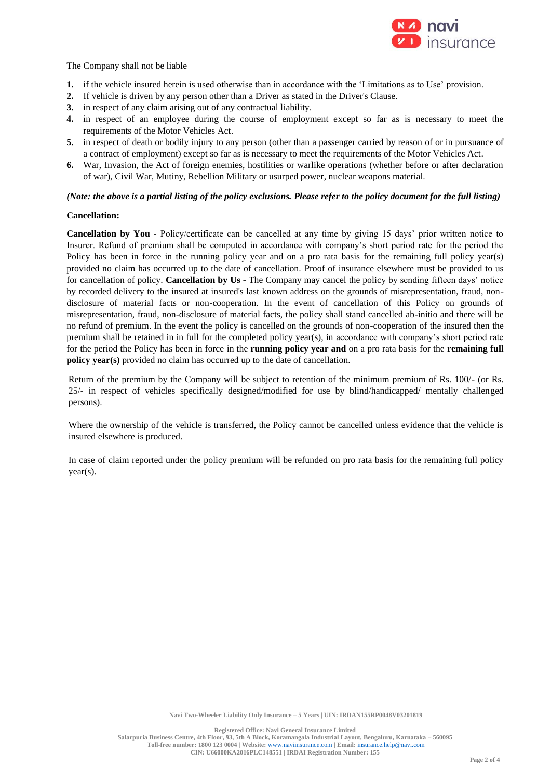

The Company shall not be liable

- **1.** if the vehicle insured herein is used otherwise than in accordance with the 'Limitations as to Use' provision.
- **2.** If vehicle is driven by any person other than a Driver as stated in the Driver's Clause.
- **3.** in respect of any claim arising out of any contractual liability.
- **4.** in respect of an employee during the course of employment except so far as is necessary to meet the requirements of the Motor Vehicles Act.
- **5.** in respect of death or bodily injury to any person (other than a passenger carried by reason of or in pursuance of a contract of employment) except so far as is necessary to meet the requirements of the Motor Vehicles Act.
- **6.** War, Invasion, the Act of foreign enemies, hostilities or warlike operations (whether before or after declaration of war), Civil War, Mutiny, Rebellion Military or usurped power, nuclear weapons material.

#### *(Note: the above is a partial listing of the policy exclusions. Please refer to the policy document for the full listing)*

#### **Cancellation:**

**Cancellation by You** - Policy/certificate can be cancelled at any time by giving 15 days' prior written notice to Insurer. Refund of premium shall be computed in accordance with company's short period rate for the period the Policy has been in force in the running policy year and on a pro rata basis for the remaining full policy year(s) provided no claim has occurred up to the date of cancellation. Proof of insurance elsewhere must be provided to us for cancellation of policy. **Cancellation by Us** - The Company may cancel the policy by sending fifteen days' notice by recorded delivery to the insured at insured's last known address on the grounds of misrepresentation, fraud, nondisclosure of material facts or non-cooperation. In the event of cancellation of this Policy on grounds of misrepresentation, fraud, non-disclosure of material facts, the policy shall stand cancelled ab-initio and there will be no refund of premium. In the event the policy is cancelled on the grounds of non-cooperation of the insured then the premium shall be retained in in full for the completed policy year(s), in accordance with company's short period rate for the period the Policy has been in force in the **running policy year and** on a pro rata basis for the **remaining full policy year(s)** provided no claim has occurred up to the date of cancellation.

Return of the premium by the Company will be subject to retention of the minimum premium of Rs. 100/- (or Rs. 25/- in respect of vehicles specifically designed/modified for use by blind/handicapped/ mentally challenged persons).

Where the ownership of the vehicle is transferred, the Policy cannot be cancelled unless evidence that the vehicle is insured elsewhere is produced.

In case of claim reported under the policy premium will be refunded on pro rata basis for the remaining full policy year(s).

**Registered Office: Navi General Insurance Limited**

**Salarpuria Business Centre, 4th Floor, 93, 5th A Block, Koramangala Industrial Layout, Bengaluru, Karnataka – 560095 Toll-free number: 1800 123 0004 | Website:** [www.naviinsurance.com](http://www.naviinsurance.com/) **| Email:** [insurance.help@navi.com](mailto:insurance.help@navi.com) **CIN: U66000KA2016PLC148551 | IRDAI Registration Number: 155**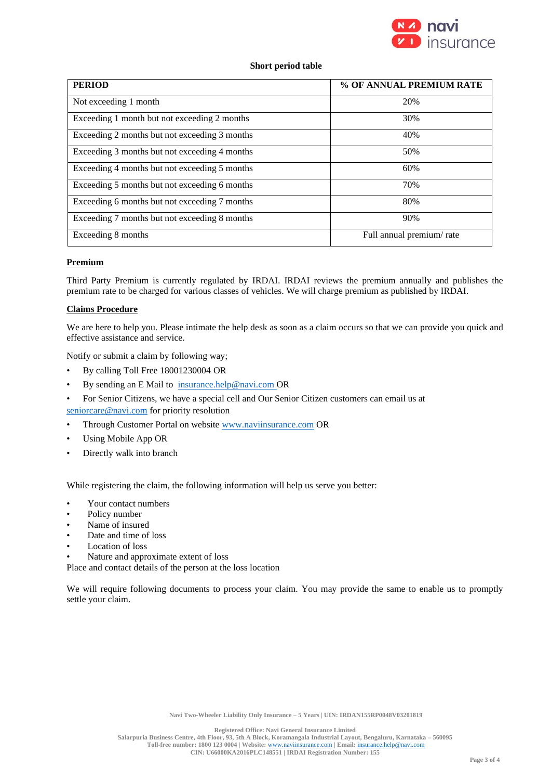

## **Short period table**

| <b>PERIOD</b>                                 | % OF ANNUAL PREMIUM RATE |
|-----------------------------------------------|--------------------------|
| Not exceeding 1 month                         | 20%                      |
| Exceeding 1 month but not exceeding 2 months  | 30%                      |
| Exceeding 2 months but not exceeding 3 months | 40%                      |
| Exceeding 3 months but not exceeding 4 months | 50%                      |
| Exceeding 4 months but not exceeding 5 months | 60%                      |
| Exceeding 5 months but not exceeding 6 months | 70%                      |
| Exceeding 6 months but not exceeding 7 months | 80%                      |
| Exceeding 7 months but not exceeding 8 months | 90%                      |
| Exceeding 8 months                            | Full annual premium/rate |

## **Premium**

Third Party Premium is currently regulated by IRDAI. IRDAI reviews the premium annually and publishes the premium rate to be charged for various classes of vehicles. We will charge premium as published by IRDAI.

## **Claims Procedure**

We are here to help you. Please intimate the help desk as soon as a claim occurs so that we can provide you quick and effective assistance and service.

Notify or submit a claim by following way;

- By calling Toll Free 18001230004 OR
- By sending an E Mail t[o insurance.help@navi.com](mailto:mycare@navi.com) OR
- For Senior Citizens, we have a special cell and Our Senior Citizen customers can email us at [seniorcare@navi.com](mailto:seniorcare@navi.com) for priority resolution
- Through Customer Portal on website [www.naviinsurance.com](http://www.naviinsurance.com/) OR
- Using Mobile App OR
- Directly walk into branch

While registering the claim, the following information will help us serve you better:

- Your contact numbers
- Policy number
- Name of insured
- Date and time of loss
- Location of loss
- Nature and approximate extent of loss

Place and contact details of the person at the loss location

We will require following documents to process your claim. You may provide the same to enable us to promptly settle your claim.

**Salarpuria Business Centre, 4th Floor, 93, 5th A Block, Koramangala Industrial Layout, Bengaluru, Karnataka – 560095 Toll-free number: 1800 123 0004 | Website:** [www.naviinsurance.com](http://www.naviinsurance.com/) **| Email:** [insurance.help@navi.com](mailto:insurance.help@navi.com) **CIN: U66000KA2016PLC148551 | IRDAI Registration Number: 155**